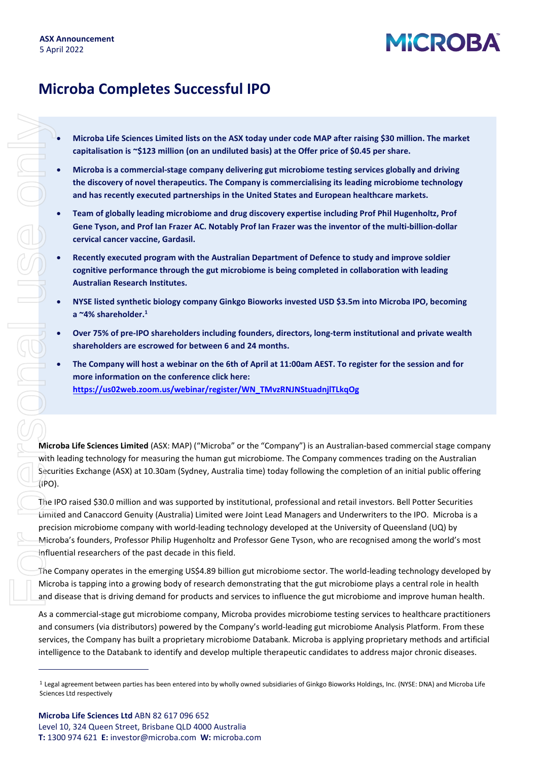# **MICROBA**

### **Microba Completes Successful IPO**

- **Microba Life Sciences Limited lists on the ASX today under code MAP after raising \$30 million. The market capitalisation is ~\$123 million (on an undiluted basis) at the Offer price of \$0.45 per share.**
- **Microba is a commercial-stage company delivering gut microbiome testing services globally and driving the discovery of novel therapeutics. The Company is commercialising its leading microbiome technology and has recently executed partnerships in the United States and European healthcare markets.**
- **Team of globally leading microbiome and drug discovery expertise including Prof Phil Hugenholtz, Prof Gene Tyson, and Prof Ian Frazer AC. Notably Prof Ian Frazer was the inventor of the multi-billion-dollar cervical cancer vaccine, Gardasil.**
- **Recently executed program with the Australian Department of Defence to study and improve soldier cognitive performance through the gut microbiome is being completed in collaboration with leading Australian Research Institutes.**
- **NYSE listed synthetic biology company Ginkgo Bioworks invested USD \$3.5m into Microba IPO, becoming a ~4% shareholder.1**
- **Over 75% of pre-IPO shareholders including founders, directors, long-term institutional and private wealth shareholders are escrowed for between 6 and 24 months.**
- **The Company will host a webinar on the 6th of April at 11:00am AEST. To register for the session and for more information on the conference click here: [https://us02web.zoom.us/webinar/register/WN\\_TMvzRNJNStuadnjlTLkqOg](https://us02web.zoom.us/webinar/register/WN_TMvzRNJNStuadnjlTLkqOg)**

**Microba Life Sciences Limited** (ASX: MAP) ("Microba" or the "Company") is an Australian-based commercial stage company with leading technology for measuring the human gut microbiome. The Company commences trading on the Australian Securities Exchange (ASX) at 10.30am (Sydney, Australia time) today following the completion of an initial public offering (IPO).

The IPO raised \$30.0 million and was supported by institutional, professional and retail investors. Bell Potter Securities Limited and Canaccord Genuity (Australia) Limited were Joint Lead Managers and Underwriters to the IPO. Microba is a precision microbiome company with world-leading technology developed at the University of Queensland (UQ) by Microba's founders, Professor Philip Hugenholtz and Professor Gene Tyson, who are recognised among the world's most influential researchers of the past decade in this field.

The Company operates in the emerging US\$4.89 billion gut microbiome sector. The world-leading technology developed by Microba is tapping into a growing body of research demonstrating that the gut microbiome plays a central role in health and disease that is driving demand for products and services to influence the gut microbiome and improve human health.

As a commercial-stage gut microbiome company, Microba provides microbiome testing services to healthcare practitioners and consumers (via distributors) powered by the Company's world-leading gut microbiome Analysis Platform. From these services, the Company has built a proprietary microbiome Databank. Microba is applying proprietary methods and artificial intelligence to the Databank to identify and develop multiple therapeutic candidates to address major chronic diseases.

<sup>&</sup>lt;sup>1</sup> Legal agreement between parties has been entered into by wholly owned subsidiaries of Ginkgo Bioworks Holdings, Inc. (NYSE: DNA) and Microba Life Sciences Ltd respectively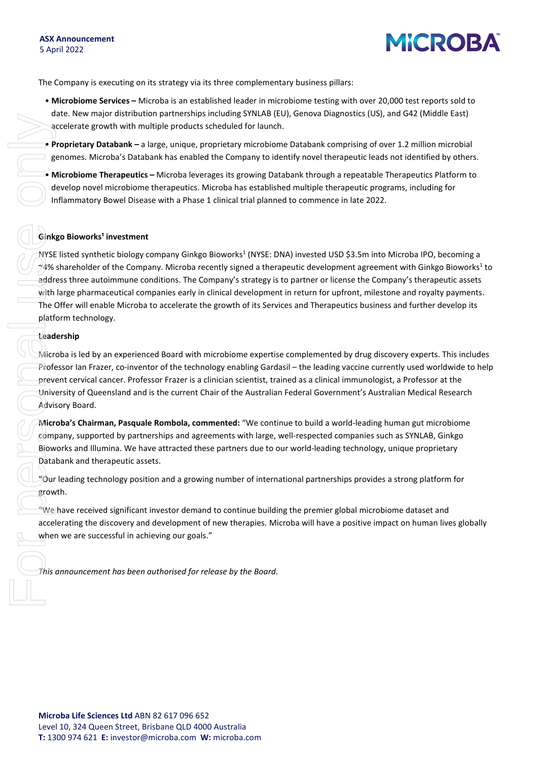## **MICROBA**

The Company is executing on its strategy via its three complementary business pillars:

- **Microbiome Services –** Microba is an established leader in microbiome testing with over 20,000 test reports sold to date. New major distribution partnerships including SYNLAB (EU), Genova Diagnostics (US), and G42 (Middle East) accelerate growth with multiple products scheduled for launch.
- **Proprietary Databank –** a large, unique, proprietary microbiome Databank comprising of over 1.2 million microbial genomes. Microba's Databank has enabled the Company to identify novel therapeutic leads not identified by others.
- **Microbiome Therapeutics –** Microba leverages its growing Databank through a repeatable Therapeutics Platform to develop novel microbiome therapeutics. Microba has established multiple therapeutic programs, including for Inflammatory Bowel Disease with a Phase 1 clinical trial planned to commence in late 2022.

#### **Ginkgo Bioworks<sup>1</sup> investment**

NYSE listed synthetic biology company Ginkgo Bioworks<sup>1</sup> (NYSE: DNA) invested USD \$3.5m into Microba IPO, becoming a  $\gamma$ 4% shareholder of the Company. Microba recently signed a therapeutic development agreement with Ginkgo Bioworks<sup>1</sup> to address three autoimmune conditions. The Company's strategy is to partner or license the Company's therapeutic assets with large pharmaceutical companies early in clinical development in return for upfront, milestone and royalty payments. The Offer will enable Microba to accelerate the growth of its Services and Therapeutics business and further develop its platform technology. **The Continent Constrainer Constrainer and Constrainer and Constrainer and Constrainer Constrainer Constrainer Constrainer Constrainer Constrainer Constrainer Constrainer Constrainer Constrainer Constrainer Constrainer Con** 

#### **Leadership**

Microba is led by an experienced Board with microbiome expertise complemented by drug discovery experts. This includes Professor Ian Frazer, co-inventor of the technology enabling Gardasil – the leading vaccine currently used worldwide to help prevent cervical cancer. Professor Frazer is a clinician scientist, trained as a clinical immunologist, a Professor at the University of Queensland and is the current Chair of the Australian Federal Government's Australian Medical Research Advisory Board.

**Microba's Chairman, Pasquale Rombola, commented:** "We continue to build a world-leading human gut microbiome company, supported by partnerships and agreements with large, well-respected companies such as SYNLAB, Ginkgo Bioworks and Illumina. We have attracted these partners due to our world-leading technology, unique proprietary Databank and therapeutic assets.

"Our leading technology position and a growing number of international partnerships provides a strong platform for growth.

 $\degree$ We have received significant investor demand to continue building the premier global microbiome dataset and accelerating the discovery and development of new therapies. Microba will have a positive impact on human lives globally when we are successful in achieving our goals."